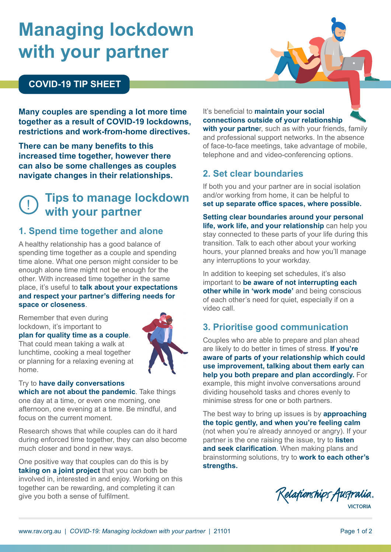# **Managing lockdown with your partner**

## **COVID-19 TIP SHEET**

**Many couples are spending a lot more time together as a result of COVID-19 lockdowns, restrictions and work-from-home directives.**

**There can be many benefits to this increased time together, however there can also be some challenges as couples navigate changes in their relationships.**

# ! **Tips to manage lockdown with your partner**

#### **1. Spend time together and alone**

A healthy relationship has a good balance of spending time together as a couple and spending time alone. What one person might consider to be enough alone time might not be enough for the other. With increased time together in the same place, it's useful to **talk about your expectations and respect your partner's differing needs for space or closeness**.

Remember that even during lockdown, it's important to

#### **plan for quality time as a couple**.

That could mean taking a walk at lunchtime, cooking a meal together or planning for a relaxing evening at home.



#### Try to **have daily conversations which are not about the pandemic**. Take things one day at a time, or even one morning, one afternoon, one evening at a time. Be mindful, and

focus on the current moment.

Research shows that while couples can do it hard during enforced time together, they can also become much closer and bond in new ways.

One positive way that couples can do this is by **taking on a joint project** that you can both be involved in, interested in and enjoy. Working on this together can be rewarding, and completing it can give you both a sense of fulfilment.

It's beneficial to **maintain your social connections outside of your relationship with your partne**r, such as with your friends, family

and professional support networks. In the absence of face-to-face meetings, take advantage of mobile, telephone and and video-conferencing options.

#### **2. Set clear boundaries**

If both you and your partner are in social isolation and/or working from home, it can be helpful to **set up separate office spaces, where possible.**

**Setting clear boundaries around your personal life, work life, and your relationship** can help you stay connected to these parts of your life during this transition. Talk to each other about your working hours, your planned breaks and how you'll manage any interruptions to your workday.

In addition to keeping set schedules, it's also important to **be aware of not interrupting each other while in 'work mode'** and being conscious of each other's need for quiet, especially if on a video call.

## **3. Prioritise good communication**

Couples who are able to prepare and plan ahead are likely to do better in times of stress. **If you're aware of parts of your relationship which could use improvement, talking about them early can help you both prepare and plan accordingly.** For example, this might involve conversations around dividing household tasks and chores evenly to minimise stress for one or both partners.

The best way to bring up issues is by **approaching the topic gently, and when you're feeling calm** (not when you're already annoyed or angry). If your partner is the one raising the issue, try to **listen and seek clarification**. When making plans and brainstorming solutions, try to **work to each other's strengths.**

Relationships Australia